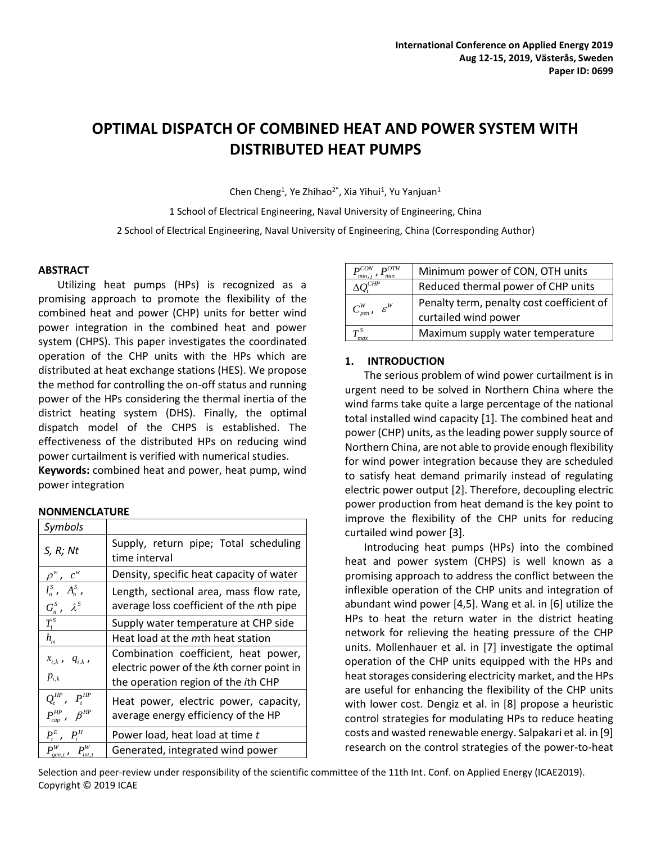# **OPTIMAL DISPATCH OF COMBINED HEAT AND POWER SYSTEM WITH DISTRIBUTED HEAT PUMPS**

Chen Cheng<sup>1</sup>, Ye Zhihao<sup>2\*</sup>, Xia Yihui<sup>1</sup>, Yu Yanjuan<sup>1</sup>

1 School of Electrical Engineering, Naval University of Engineering, China

2 School of Electrical Engineering, Naval University of Engineering, China (Corresponding Author)

## **ABSTRACT**

Utilizing heat pumps (HPs) is recognized as a promising approach to promote the flexibility of the combined heat and power (CHP) units for better wind power integration in the combined heat and power system (CHPS). This paper investigates the coordinated operation of the CHP units with the HPs which are distributed at heat exchange stations (HES). We propose the method for controlling the on-off status and running power of the HPs considering the thermal inertia of the district heating system (DHS). Finally, the optimal dispatch model of the CHPS is established. The effectiveness of the distributed HPs on reducing wind power curtailment is verified with numerical studies.

**Keywords:** combined heat and power, heat pump, wind power integration

# **NONMENCLATURE**

| Symbols                                                  |                                                                                                                                  |  |  |
|----------------------------------------------------------|----------------------------------------------------------------------------------------------------------------------------------|--|--|
| S, R; Nt                                                 | Supply, return pipe; Total scheduling<br>time interval                                                                           |  |  |
| $\rho^w$ , $c^w$                                         | Density, specific heat capacity of water                                                                                         |  |  |
| $\overline{l_n^s}$ , $A_n^s$ ,<br>$G_n^S$ , $\lambda^S$  | Length, sectional area, mass flow rate,<br>average loss coefficient of the nth pipe                                              |  |  |
| $T_1^S$                                                  | Supply water temperature at CHP side                                                                                             |  |  |
| $h_{m}$                                                  | Heat load at the mth heat station                                                                                                |  |  |
| $x_{i,k}$ , $q_{i,k}$ ,<br>$p_{i,k}$                     | Combination coefficient, heat power,<br>electric power of the kth corner point in<br>the operation region of the <i>i</i> th CHP |  |  |
| $Q_t^{HP}$ , $P_t^{HP}$<br>$P_{cap}^{HP}$ , $\beta^{HP}$ | Heat power, electric power, capacity,<br>average energy efficiency of the HP                                                     |  |  |
| $P_t^E$ , $P_t^H$                                        | Power load, heat load at time t                                                                                                  |  |  |
|                                                          | Generated, integrated wind power                                                                                                 |  |  |

|                                                                                            | Minimum power of CON, OTH units                                   |  |
|--------------------------------------------------------------------------------------------|-------------------------------------------------------------------|--|
|                                                                                            | Reduced thermal power of CHP units                                |  |
| $C_{\scriptscriptstyle pen}^{\scriptscriptstyle W}$ , $\varepsilon^{\scriptscriptstyle W}$ | Penalty term, penalty cost coefficient of<br>curtailed wind power |  |
| $\bm{\tau}^{\mathit{S}}$<br>max                                                            | Maximum supply water temperature                                  |  |

# **1. INTRODUCTION**

The serious problem of wind power curtailment is in urgent need to be solved in Northern China where the wind farms take quite a large percentage of the national total installed wind capacity [1]. The combined heat and power (CHP) units, as the leading power supply source of Northern China, are not able to provide enough flexibility for wind power integration because they are scheduled to satisfy heat demand primarily instead of regulating electric power output [2]. Therefore, decoupling electric power production from heat demand is the key point to improve the flexibility of the CHP units for reducing curtailed wind power [3].

Introducing heat pumps (HPs) into the combined heat and power system (CHPS) is well known as a promising approach to address the conflict between the inflexible operation of the CHP units and integration of abundant wind power [4,5]. Wang et al. in [6] utilize the HPs to heat the return water in the district heating network for relieving the heating pressure of the CHP units. Mollenhauer et al. in [7] investigate the optimal operation of the CHP units equipped with the HPs and heat storages considering electricity market, and the HPs are useful for enhancing the flexibility of the CHP units with lower cost. Dengiz et al. in [8] propose a heuristic control strategies for modulating HPs to reduce heating costs and wasted renewable energy. Salpakari et al. in [9] research on the control strategies of the power-to-heat

Selection and peer-review under responsibility of the scientific committee of the 11th Int. Conf. on Applied Energy (ICAE2019). Copyright © 2019 ICAE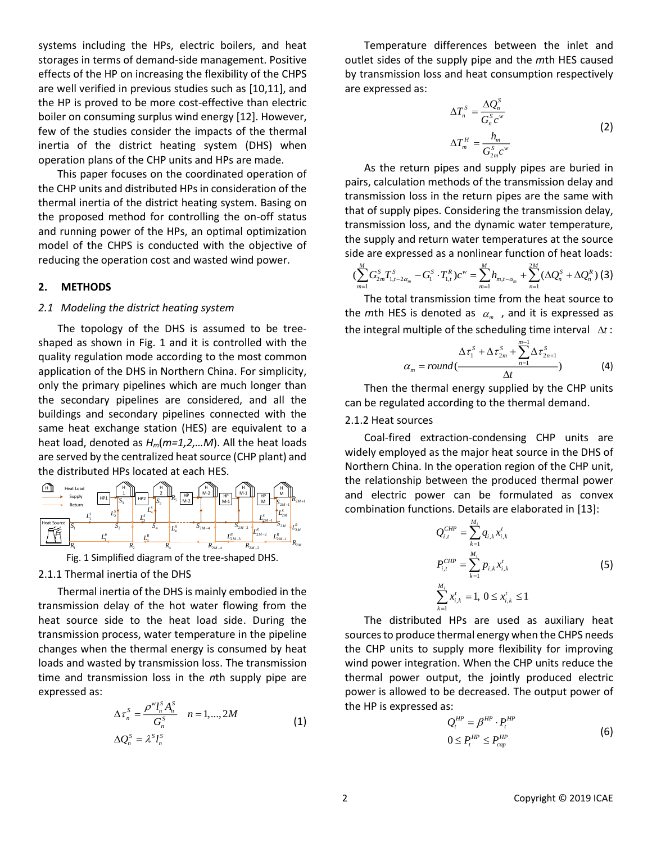systems including the HPs, electric boilers, and heat storages in terms of demand-side management. Positive effects of the HP on increasing the flexibility of the CHPS are well verified in previous studies such as [10,11], and the HP is proved to be more cost-effective than electric boiler on consuming surplus wind energy [12]. However, few of the studies consider the impacts of the thermal inertia of the district heating system (DHS) when operation plans of the CHP units and HPs are made.

This paper focuses on the coordinated operation of the CHP units and distributed HPs in consideration of the thermal inertia of the district heating system. Basing on the proposed method for controlling the on-off status and running power of the HPs, an optimal optimization model of the CHPS is conducted with the objective of reducing the operation cost and wasted wind power.

### **2. METHODS**

#### *2.1 Modeling the district heating system*

The topology of the DHS is assumed to be treeshaped as shown in Fig. 1 and it is controlled with the quality regulation mode according to the most common application of the DHS in Northern China. For simplicity, only the primary pipelines which are much longer than the secondary pipelines are considered, and all the buildings and secondary pipelines connected with the same heat exchange station (HES) are equivalent to a heat load, denoted as *Hm*(*m=1,2,…M*). All the heat loads are served by the centralized heat source (CHP plant) and the distributed HPs located at each HES.





## 2.1.1 Thermal inertia of the DHS

Thermal inertia of the DHS is mainly embodied in the transmission delay of the hot water flowing from the heat source side to the heat load side. During the transmission process, water temperature in the pipeline changes when the thermal energy is consumed by heat loads and wasted by transmission loss. The transmission time and transmission loss in the *n*th supply pipe are expressed as:

$$
\Delta \tau_n^S = \frac{\rho^w l_n^S A_n^S}{G_n^S} \quad n = 1, ..., 2M
$$
  
\n
$$
\Delta Q_n^S = \lambda^S l_n^S
$$
\n(1)

Temperature differences between the inlet and outlet sides of the supply pipe and the *m*th HES caused by transmission loss and heat consumption respectively are expressed as:

$$
\Delta T_n^S = \frac{\Delta Q_n^S}{G_n^S c^w}
$$
  

$$
\Delta T_m^H = \frac{h_m}{G_{2m}^S c^w}
$$
 (2)

As the return pipes and supply pipes are buried in pairs, calculation methods of the transmission delay and transmission loss in the return pipes are the same with that of supply pipes. Considering the transmission delay, transmission loss, and the dynamic water temperature, the supply and return water temperatures at the source side are expressed as a nonlinear function of heat loads:

$$
(\sum_{m=1}^{M}G_{2m}^{S}T_{1,t-2\alpha_{m}}^{S}-G_{1}^{S}\cdot T_{1,t}^{R})c^{w}=\sum_{m=1}^{M}h_{m,t-\alpha_{m}}+\sum_{n=1}^{2M}(\Delta Q_{n}^{S}+\Delta Q_{n}^{R})
$$
(3)

The total transmission time from the heat source to the  $m$ th HES is denoted as  $\alpha_m$ , and it is expressed as the integral multiple of the scheduling time interval  $\Delta t$ :

$$
\alpha_m = round(\frac{\Delta \tau_1^S + \Delta \tau_{2m}^S + \sum_{n=1}^{m-1} \Delta \tau_{2n+1}^S}{\Delta t})
$$
(4)

Then the thermal energy supplied by the CHP units can be regulated according to the thermal demand.

# 2.1.2 Heat sources

 $S_{2M+1}$ <sup>2</sup> $^{2M+1}$  $\mathcal{L}_{\mathcal{S}_M}^{\text{ZAM}}$  **combination functions. Details are elaborated in [13]:** *R*<sub>2*M*-1</sub> and electric power can be formulated as convex Coal-fired extraction-condensing CHP units are widely employed as the major heat source in the DHS of Northern China. In the operation region of the CHP unit, the relationship between the produced thermal power

$$
L_{2M}^{R_{2M}} = \sum_{k=1}^{M_i} q_{i,k} x_{i,k}^t
$$
\n
$$
P_{i,t}^{CHP} = \sum_{k=1}^{M_i} p_{i,k} x_{i,k}^t
$$
\nthe

\n
$$
\sum_{k=1}^{M_i} x_{i,k}^t = 1, 0 \le x_{i,k}^t \le 1
$$
\n(5)

The distributed HPs are used as auxiliary heat sources to produce thermal energy when the CHPS needs the CHP units to supply more flexibility for improving wind power integration. When the CHP units reduce the thermal power output, the jointly produced electric power is allowed to be decreased. The output power of the HP is expressed as:

$$
Q_t^{HP} = \beta^{HP} \cdot P_t^{HP}
$$
  
\n
$$
0 \le P_t^{HP} \le P_{cap}^{HP}
$$
\n(6)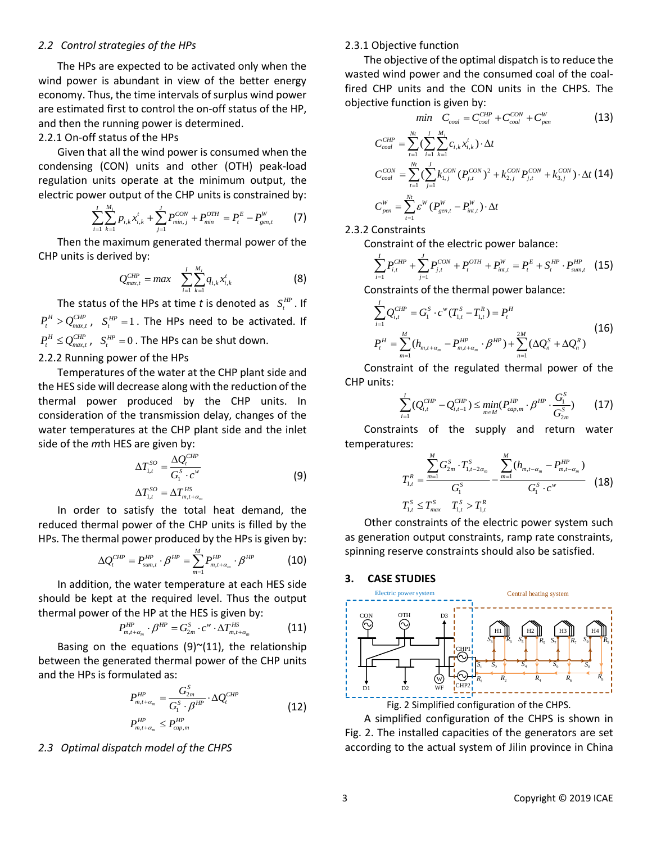## *2.2 Control strategies of the HPs*

The HPs are expected to be activated only when the wind power is abundant in view of the better energy economy. Thus, the time intervals of surplus wind power are estimated first to control the on-off status of the HP, and then the running power is determined.

#### 2.2.1 On-off status of the HPs

Given that all the wind power is consumed when the condensing (CON) units and other (OTH) peak-load regulation units operate at the minimum output, the

electric power output of the CHP units is constrained by:  
\n
$$
\sum_{i=1}^{I} \sum_{k=1}^{M_i} p_{i,k} x_{i,k}^t + \sum_{j=1}^{J} P_{min,j}^{CON} + P_{min}^{OTH} = P_t^E - P_{gen,t}^W
$$
\n(7)

Then the maximum generated thermal power of the CHP units is derived by:

$$
Q_{max,t}^{CHP} = max \sum_{i=1}^{I} \sum_{k=1}^{M_i} q_{i,k} x_{i,k}^t
$$
 (8)

The status of the HPs at time t is denoted as  $S_t^{HP}$ . If  $P_t^H > Q_{max,t}^{CHP}$  ,  $S_t^{HP} = 1$ . The HPs need to be activated. If  $P_t^H \leq Q_{max,t}^{CHP}$ ,  $S_t^{HP} = 0$ . The HPs can be shut down. 2.2.2 Running power of the HPs

Temperatures of the water at the CHP plant side and the HES side will decrease along with the reduction of the thermal power produced by the CHP units. In consideration of the transmission delay, changes of the water temperatures at the CHP plant side and the inlet side of the *m*th HES are given by:

$$
\Delta T_{1,t}^{SO} = \frac{\Delta Q_t^{CHP}}{G_1^S \cdot c^w}
$$
\n
$$
\Delta T_{1,t}^{SO} = \Delta T_{m,t+\alpha_m}^{HS}
$$
\n(9)

In order to satisfy the total heat demand, the reduced thermal power of the CHP units is filled by the HPs. The thermal power produced by the HPs is given by:

$$
\Delta Q_{t}^{CHP} = P_{sum,t}^{HP} \cdot \beta^{HP} = \sum_{m=1}^{M} P_{m,t+\alpha_m}^{HP} \cdot \beta^{HP}
$$
(10)

In addition, the water temperature at each HES side should be kept at the required level. Thus the output thermal power of the HP at the HES is given by:

$$
P_{m,t+\alpha_m}^{HP} \cdot \beta^{HP} = G_{2m}^S \cdot c^w \cdot \Delta T_{m,t+\alpha_m}^{HS}
$$
 (11)

Basing on the equations  $(9)$ <sup> $\sim$ </sup> $(11)$ , the relationship between the generated thermal power of the CHP units and the HPs is formulated as:

$$
P_{m,t+\alpha_m}^{HP} = \frac{G_{2m}^S}{G_1^S \cdot \beta^{HP}} \cdot \Delta Q_t^{CHP}
$$
  
\n
$$
P_{m,t+\alpha_m}^{HP} \le P_{cap,m}^{HP}
$$
\n(12)

#### *2.3 Optimal dispatch model of the CHPS*

## 2.3.1 Objective function

The objective of the optimal dispatch is to reduce the wasted wind power and the consumed coal of the coalfired CHP units and the CON units in the CHPS. The objective function is given by:

$$
min \quad C_{coal} = C_{coal}^{CHP} + C_{coal}^{CON} + C_{pen}^{W} \tag{13}
$$

$$
C_{coal}^{CHP} = \sum_{t=1}^{N_t} (\sum_{i=1}^{I} \sum_{k=1}^{M_i} c_{i,k} x_{i,k}^t) \cdot \Delta t
$$
  
\n
$$
C_{coal}^{CON} = \sum_{t=1}^{N_t} (\sum_{j=1}^{J} k_{1,j}^{CON} (P_{j,t}^{CON})^2 + k_{2,j}^{CON} P_{j,t}^{CON} + k_{3,j}^{CON}) \cdot \Delta t
$$
 (14)  
\n
$$
C_{pen}^{W} = \sum_{t=1}^{N_t} \varepsilon^{W} (P_{gen,t}^{W} - P_{int,t}^{W}) \cdot \Delta t
$$

#### 2.3.2 Constraints

Constraint of the electric power balance:

$$
\sum_{i=1}^{I} P_{i,t}^{CHP} + \sum_{j=1}^{J} P_{j,t}^{CON} + P_{t}^{OTH} + P_{int,t}^{W} = P_{t}^{E} + S_{t}^{HP} \cdot P_{sum,t}^{HP} \quad (15)
$$

Constraints of the thermal power balance:

$$
\sum_{i=1}^{I} Q_{i,t}^{CHP} = G_1^{S} \cdot c^{w} (T_{1,t}^{S} - T_{1,t}^{R}) = P_t^{H}
$$
\n
$$
P_t^{H} = \sum_{m=1}^{M} (h_{m,t+\alpha_m} - P_{m,t+\alpha_m}^{HP} \cdot \beta^{HP}) + \sum_{n=1}^{2M} (\Delta Q_n^{S} + \Delta Q_n^{R})
$$
\n(16)

Constraint of the regulated thermal power of the CHP units:

$$
\sum_{i=1}^{I} (Q_{i,t}^{CHP} - Q_{i,t-1}^{CHP}) \leq \min_{m \in M} (P_{cap,m}^{HP} \cdot \beta^{HP} \cdot \frac{G_1^S}{G_{2m}^S})
$$
(17)

Constraints of the supply and return water temperatures:

$$
T_{1,t}^{R} = \frac{\sum_{m=1}^{M} G_{2m}^{S} \cdot T_{1,t-2\alpha_{m}}^{S}}{G_{1}^{S}} - \frac{\sum_{m=1}^{M} (h_{m,t-\alpha_{m}} - P_{m,t-\alpha_{m}}^{HP})}{G_{1}^{S} \cdot c^{w}}
$$
 (18)

Other constraints of the electric power system such as generation output constraints, ramp rate constraints, spinning reserve constraints should also be satisfied.

#### **3. CASE STUDIES**



A simplified configuration of the CHPS is shown in Fig. 2. The installed capacities of the generators are set according to the actual system of Jilin province in China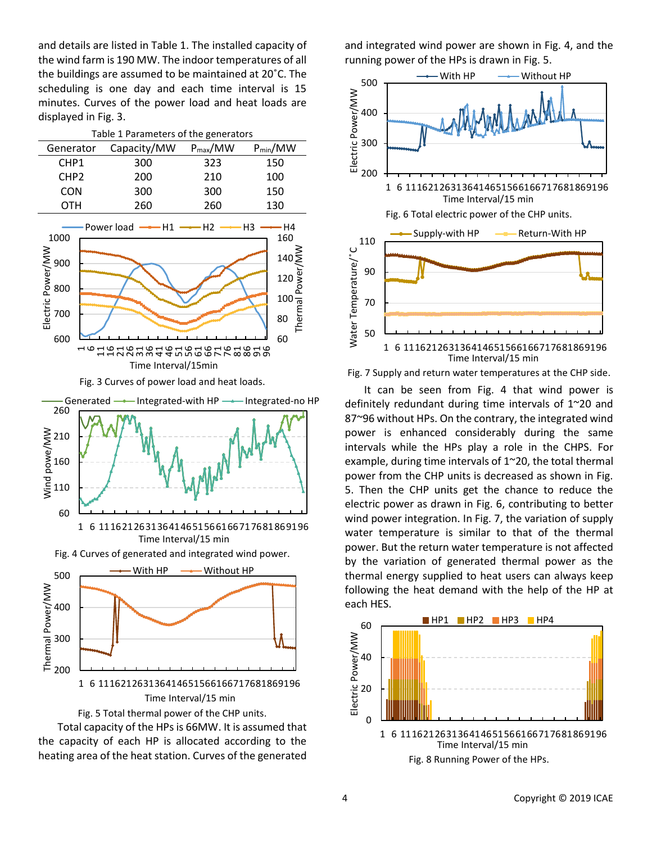and details are listed in Table 1. The installed capacity of the wind farm is 190 MW. The indoor temperatures of all the buildings are assumed to be maintained at 20˚C. The scheduling is one day and each time interval is 15 minutes. Curves of the power load and heat loads are displayed in Fig. 3.

| Table 1 Parameters of the generators |             |                     |              |  |  |
|--------------------------------------|-------------|---------------------|--------------|--|--|
| Generator                            | Capacity/MW | $P_{\text{max}}/MW$ | $P_{min}/MW$ |  |  |
| CHP <sub>1</sub>                     | 300         | 323                 | 150          |  |  |
| CHP <sub>2</sub>                     | 200         | 210                 | 100          |  |  |
| <b>CON</b>                           | 300         | 300                 | 150          |  |  |
| OTH                                  | 260         | 260                 | 130          |  |  |
|                                      |             |                     |              |  |  |









and integrated wind power are shown in Fig. 4, and the running power of the HPs is drawn in Fig. 5.



Fig. 7 Supply and return water temperatures at the CHP side.

It can be seen from Fig. 4 that wind power is definitely redundant during time intervals of 1~20 and 87~96 without HPs. On the contrary, the integrated wind power is enhanced considerably during the same intervals while the HPs play a role in the CHPS. For example, during time intervals of 1~20, the total thermal power from the CHP units is decreased as shown in Fig. 5. Then the CHP units get the chance to reduce the electric power as drawn in Fig. 6, contributing to better wind power integration. In Fig. 7, the variation of supply water temperature is similar to that of the thermal power. But the return water temperature is not affected by the variation of generated thermal power as the thermal energy supplied to heat users can always keep following the heat demand with the help of the HP at each HES.